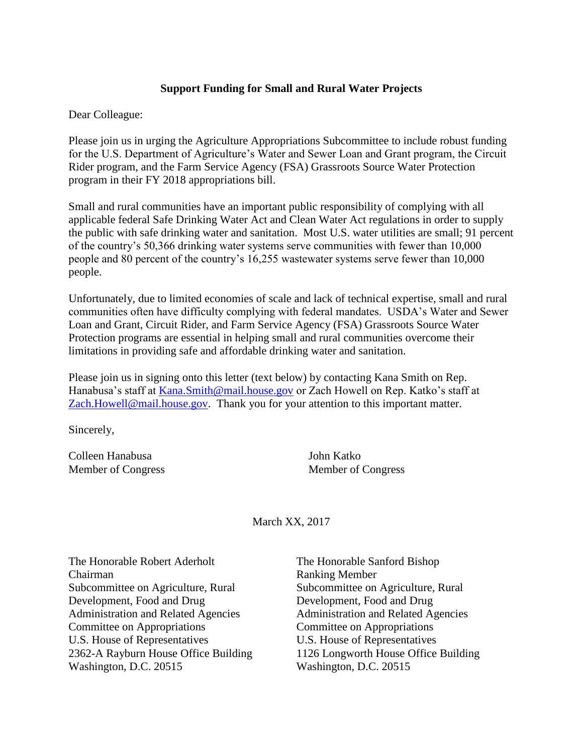## **Support Funding for Small and Rural Water Projects**

Dear Colleague:

Please join us in urging the Agriculture Appropriations Subcommittee to include robust funding for the U.S. Department of Agriculture's Water and Sewer Loan and Grant program, the Circuit Rider program, and the Farm Service Agency (FSA) Grassroots Source Water Protection program in their FY 2018 appropriations bill.

Small and rural communities have an important public responsibility of complying with all applicable federal Safe Drinking Water Act and Clean Water Act regulations in order to supply the public with safe drinking water and sanitation. Most U.S. water utilities are small; 91 percent of the country's 50,366 drinking water systems serve communities with fewer than 10,000 people and 80 percent of the country's 16,255 wastewater systems serve fewer than 10,000 people.

Unfortunately, due to limited economies of scale and lack of technical expertise, small and rural communities often have difficulty complying with federal mandates. USDA's Water and Sewer Loan and Grant, Circuit Rider, and Farm Service Agency (FSA) Grassroots Source Water Protection programs are essential in helping small and rural communities overcome their limitations in providing safe and affordable drinking water and sanitation.

Please join us in signing onto this letter (text below) by contacting Kana Smith on Rep. Hanabusa's staff at [Kana.Smith@mail.house.gov](mailto:Kana.Smith@mail.house.gov) or Zach Howell on Rep. Katko's staff at [Zach.Howell@mail.house.gov.](mailto:Zach.Howell@mail.house.gov) Thank you for your attention to this important matter.

Sincerely,

Colleen Hanabusa John Katko Member of Congress Member of Congress

March XX, 2017

| The Honorable Robert Aderholt              | The Honorable Sanford Bishop               |
|--------------------------------------------|--------------------------------------------|
| Chairman                                   | <b>Ranking Member</b>                      |
| Subcommittee on Agriculture, Rural         | Subcommittee on Agriculture, Rural         |
| Development, Food and Drug                 | Development, Food and Drug                 |
| <b>Administration and Related Agencies</b> | <b>Administration and Related Agencies</b> |
| Committee on Appropriations                | Committee on Appropriations                |
| U.S. House of Representatives              | U.S. House of Representatives              |
| 2362-A Rayburn House Office Building       | 1126 Longworth House Office Building       |
| Washington, D.C. 20515                     | Washington, D.C. 20515                     |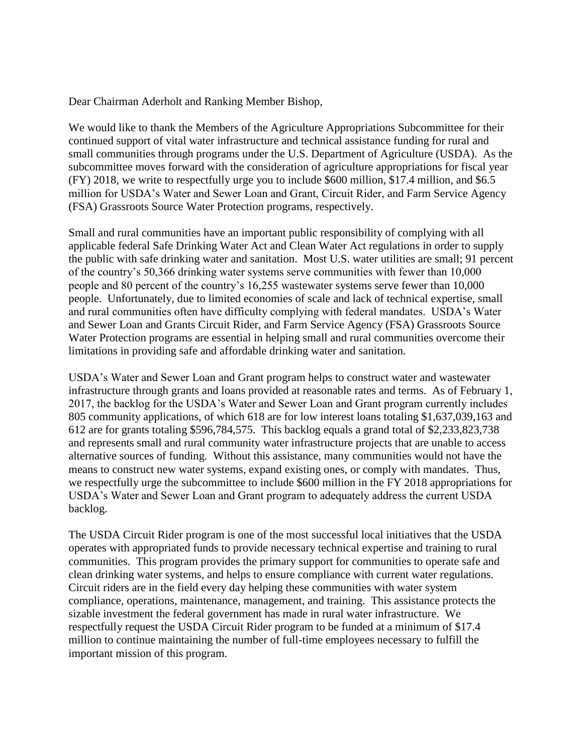Dear Chairman Aderholt and Ranking Member Bishop,

We would like to thank the Members of the Agriculture Appropriations Subcommittee for their continued support of vital water infrastructure and technical assistance funding for rural and small communities through programs under the U.S. Department of Agriculture (USDA). As the subcommittee moves forward with the consideration of agriculture appropriations for fiscal year (FY) 2018, we write to respectfully urge you to include \$600 million, \$17.4 million, and \$6.5 million for USDA's Water and Sewer Loan and Grant, Circuit Rider, and Farm Service Agency (FSA) Grassroots Source Water Protection programs, respectively.

Small and rural communities have an important public responsibility of complying with all applicable federal Safe Drinking Water Act and Clean Water Act regulations in order to supply the public with safe drinking water and sanitation. Most U.S. water utilities are small; 91 percent of the country's 50,366 drinking water systems serve communities with fewer than 10,000 people and 80 percent of the country's 16,255 wastewater systems serve fewer than 10,000 people. Unfortunately, due to limited economies of scale and lack of technical expertise, small and rural communities often have difficulty complying with federal mandates. USDA's Water and Sewer Loan and Grants Circuit Rider, and Farm Service Agency (FSA) Grassroots Source Water Protection programs are essential in helping small and rural communities overcome their limitations in providing safe and affordable drinking water and sanitation.

USDA's Water and Sewer Loan and Grant program helps to construct water and wastewater infrastructure through grants and loans provided at reasonable rates and terms. As of February 1, 2017, the backlog for the USDA's Water and Sewer Loan and Grant program currently includes 805 community applications, of which 618 are for low interest loans totaling \$1,637,039,163 and 612 are for grants totaling \$596,784,575. This backlog equals a grand total of \$2,233,823,738 and represents small and rural community water infrastructure projects that are unable to access alternative sources of funding. Without this assistance, many communities would not have the means to construct new water systems, expand existing ones, or comply with mandates. Thus, we respectfully urge the subcommittee to include \$600 million in the FY 2018 appropriations for USDA's Water and Sewer Loan and Grant program to adequately address the current USDA backlog.

The USDA Circuit Rider program is one of the most successful local initiatives that the USDA operates with appropriated funds to provide necessary technical expertise and training to rural communities. This program provides the primary support for communities to operate safe and clean drinking water systems, and helps to ensure compliance with current water regulations. Circuit riders are in the field every day helping these communities with water system compliance, operations, maintenance, management, and training. This assistance protects the sizable investment the federal government has made in rural water infrastructure. We respectfully request the USDA Circuit Rider program to be funded at a minimum of \$17.4 million to continue maintaining the number of full-time employees necessary to fulfill the important mission of this program.